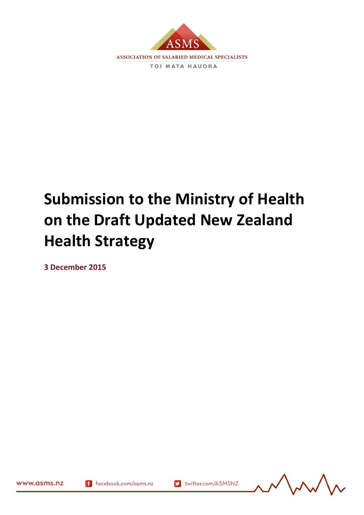

# **Submission to the Ministry of Health on the Draft Updated New Zealand Health Strategy**

**3 December 2015**



www.asms.nz

164909.1

f facebook.com/asms.nz

v twitter.com/ASMSNZ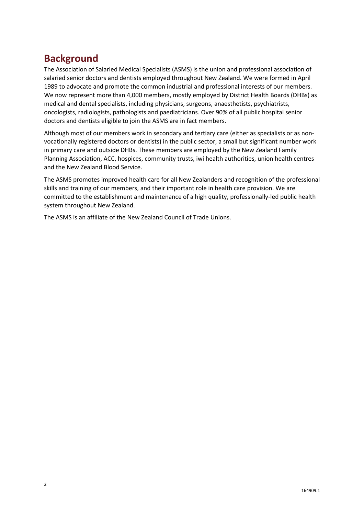# **Background**

The Association of Salaried Medical Specialists (ASMS) is the union and professional association of salaried senior doctors and dentists employed throughout New Zealand. We were formed in April 1989 to advocate and promote the common industrial and professional interests of our members. We now represent more than 4,000 members, mostly employed by District Health Boards (DHBs) as medical and dental specialists, including physicians, surgeons, anaesthetists, psychiatrists, oncologists, radiologists, pathologists and paediatricians. Over 90% of all public hospital senior doctors and dentists eligible to join the ASMS are in fact members.

Although most of our members work in secondary and tertiary care (either as specialists or as nonvocationally registered doctors or dentists) in the public sector, a small but significant number work in primary care and outside DHBs. These members are employed by the New Zealand Family Planning Association, ACC, hospices, community trusts, iwi health authorities, union health centres and the New Zealand Blood Service.

The ASMS promotes improved health care for all New Zealanders and recognition of the professional skills and training of our members, and their important role in health care provision. We are committed to the establishment and maintenance of a high quality, professionally-led public health system throughout New Zealand.

The ASMS is an affiliate of the New Zealand Council of Trade Unions.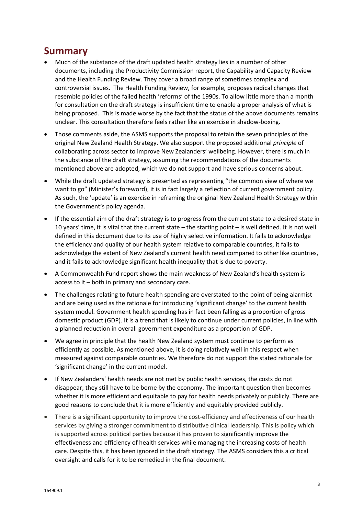# **Summary**

- Much of the substance of the draft updated health strategy lies in a number of other documents, including the Productivity Commission report, the Capability and Capacity Review and the Health Funding Review. They cover a broad range of sometimes complex and controversial issues. The Health Funding Review, for example, proposes radical changes that resemble policies of the failed health 'reforms' of the 1990s. To allow little more than a month for consultation on the draft strategy is insufficient time to enable a proper analysis of what is being proposed. This is made worse by the fact that the status of the above documents remains unclear. This consultation therefore feels rather like an exercise in shadow-boxing.
- Those comments aside, the ASMS supports the proposal to retain the seven principles of the original New Zealand Health Strategy. We also support the proposed additional *principle* of collaborating across sector to improve New Zealanders' wellbeing. However, there is much in the substance of the draft strategy, assuming the recommendations of the documents mentioned above are adopted, which we do not support and have serious concerns about.
- While the draft updated strategy is presented as representing "the common view of where we want to go" (Minister's foreword), it is in fact largely a reflection of current government policy. As such, the 'update' is an exercise in reframing the original New Zealand Health Strategy within the Government's policy agenda.
- If the essential aim of the draft strategy is to progress from the current state to a desired state in 10 years' time, it is vital that the current state – the starting point – is well defined. It is not well defined in this document due to its use of highly selective information. It fails to acknowledge the efficiency and quality of our health system relative to comparable countries, it fails to acknowledge the extent of New Zealand's current health need compared to other like countries, and it fails to acknowledge significant health inequality that is due to poverty.
- A Commonwealth Fund report shows the main weakness of New Zealand's health system is access to it – both in primary and secondary care.
- The challenges relating to future health spending are overstated to the point of being alarmist and are being used as the rationale for introducing 'significant change' to the current health system model. Government health spending has in fact been falling as a proportion of gross domestic product (GDP). It is a trend that is likely to continue under current policies, in line with a planned reduction in overall government expenditure as a proportion of GDP.
- We agree in principle that the health New Zealand system must continue to perform as efficiently as possible. As mentioned above, it is doing relatively well in this respect when measured against comparable countries. We therefore do not support the stated rationale for 'significant change' in the current model.
- If New Zealanders' health needs are not met by public health services, the costs do not disappear; they still have to be borne by the economy. The important question then becomes whether it is more efficient and equitable to pay for health needs privately or publicly. There are good reasons to conclude that it is more efficiently and equitably provided publicly.
- There is a significant opportunity to improve the cost-efficiency and effectiveness of our health services by giving a stronger commitment to distributive clinical leadership. This is policy which is supported across political parties because it has proven to significantly improve the effectiveness and efficiency of health services while managing the increasing costs of health care. Despite this, it has been ignored in the draft strategy. The ASMS considers this a critical oversight and calls for it to be remedied in the final document.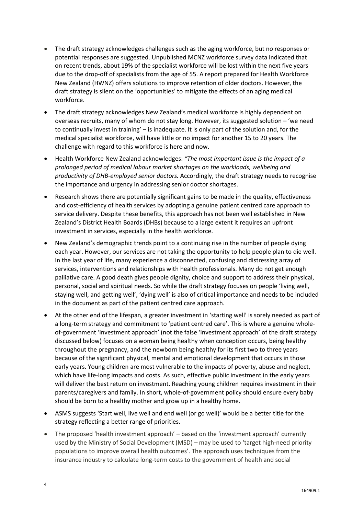- The draft strategy acknowledges challenges such as the aging workforce, but no responses or potential responses are suggested. Unpublished MCNZ workforce survey data indicated that on recent trends, about 19% of the specialist workforce will be lost within the next five years due to the drop-off of specialists from the age of 55. A report prepared for Health Workforce New Zealand (HWNZ) offers solutions to improve retention of older doctors. However, the draft strategy is silent on the 'opportunities' to mitigate the effects of an aging medical workforce.
- The draft strategy acknowledges New Zealand's medical workforce is highly dependent on overseas recruits, many of whom do not stay long. However, its suggested solution – 'we need to continually invest in training' – is inadequate. It is only part of the solution and, for the medical specialist workforce, will have little or no impact for another 15 to 20 years. The challenge with regard to this workforce is here and now.
- Health Workforce New Zealand acknowledges: *"The most important issue is the impact of a prolonged period of medical labour market shortages on the workloads, wellbeing and productivity of DHB-employed senior doctors.* Accordingly, the draft strategy needs to recognise the importance and urgency in addressing senior doctor shortages.
- Research shows there are potentially significant gains to be made in the quality, effectiveness and cost-efficiency of health services by adopting a genuine patient centred care approach to service delivery. Despite these benefits, this approach has not been well established in New Zealand's District Health Boards (DHBs) because to a large extent it requires an upfront investment in services, especially in the health workforce.
- New Zealand's demographic trends point to a continuing rise in the number of people dying each year. However, our services are not taking the opportunity to help people plan to die well. In the last year of life, many experience a disconnected, confusing and distressing array of services, interventions and relationships with health professionals. Many do not get enough palliative care. A good death gives people dignity, choice and support to address their physical, personal, social and spiritual needs. So while the draft strategy focuses on people 'living well, staying well, and getting well', 'dying well' is also of critical importance and needs to be included in the document as part of the patient centred care approach.
- At the other end of the lifespan, a greater investment in 'starting well' is sorely needed as part of a long-term strategy and commitment to 'patient centred care'. This is where a genuine wholeof-government 'investment approach' (not the false 'investment approach' of the draft strategy discussed below) focuses on a woman being healthy when conception occurs, being healthy throughout the pregnancy, and the newborn being healthy for its first two to three years because of the significant physical, mental and emotional development that occurs in those early years. Young children are most vulnerable to the impacts of poverty, abuse and neglect, which have life-long impacts and costs. As such, effective public investment in the early years will deliver the best return on investment. Reaching young children requires investment in their parents/caregivers and family. In short, whole-of-government policy should ensure every baby should be born to a healthy mother and grow up in a healthy home.
- ASMS suggests 'Start well, live well and end well (or go well)' would be a better title for the strategy reflecting a better range of priorities.
- The proposed 'health investment approach' based on the 'investment approach' currently used by the Ministry of Social Development (MSD) – may be used to 'target high-need priority populations to improve overall health outcomes'. The approach uses techniques from the insurance industry to calculate long-term costs to the government of health and social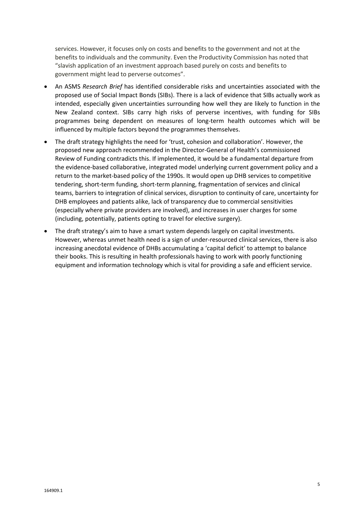services. However, it focuses only on costs and benefits to the government and not at the benefits to individuals and the community. Even the Productivity Commission has noted that "slavish application of an investment approach based purely on costs and benefits to government might lead to perverse outcomes".

- An ASMS *Research Brief* has identified considerable risks and uncertainties associated with the proposed use of Social Impact Bonds (SIBs). There is a lack of evidence that SIBs actually work as intended, especially given uncertainties surrounding how well they are likely to function in the New Zealand context. SIBs carry high risks of perverse incentives, with funding for SIBs programmes being dependent on measures of long-term health outcomes which will be influenced by multiple factors beyond the programmes themselves.
- The draft strategy highlights the need for 'trust, cohesion and collaboration'. However, the proposed new approach recommended in the Director-General of Health's commissioned Review of Funding contradicts this. If implemented, it would be a fundamental departure from the evidence-based collaborative, integrated model underlying current government policy and a return to the market-based policy of the 1990s. It would open up DHB services to competitive tendering, short-term funding, short-term planning, fragmentation of services and clinical teams, barriers to integration of clinical services, disruption to continuity of care, uncertainty for DHB employees and patients alike, lack of transparency due to commercial sensitivities (especially where private providers are involved), and increases in user charges for some (including, potentially, patients opting to travel for elective surgery).
- The draft strategy's aim to have a smart system depends largely on capital investments. However, whereas unmet health need is a sign of under-resourced clinical services, there is also increasing anecdotal evidence of DHBs accumulating a 'capital deficit' to attempt to balance their books. This is resulting in health professionals having to work with poorly functioning equipment and information technology which is vital for providing a safe and efficient service.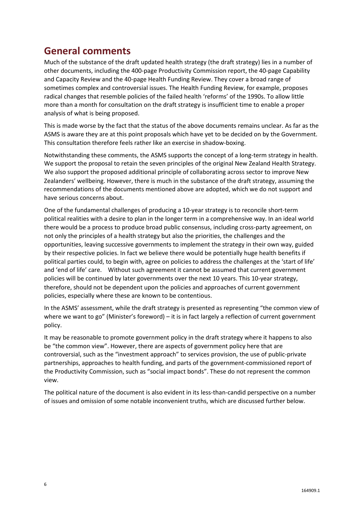# **General comments**

Much of the substance of the draft updated health strategy (the draft strategy) lies in a number of other documents, including the 400-page Productivity Commission report, the 40-page Capability and Capacity Review and the 40-page Health Funding Review. They cover a broad range of sometimes complex and controversial issues. The Health Funding Review, for example, proposes radical changes that resemble policies of the failed health 'reforms' of the 1990s. To allow little more than a month for consultation on the draft strategy is insufficient time to enable a proper analysis of what is being proposed.

This is made worse by the fact that the status of the above documents remains unclear. As far as the ASMS is aware they are at this point proposals which have yet to be decided on by the Government. This consultation therefore feels rather like an exercise in shadow-boxing.

Notwithstanding these comments, the ASMS supports the concept of a long-term strategy in health. We support the proposal to retain the seven principles of the original New Zealand Health Strategy. We also support the proposed additional principle of collaborating across sector to improve New Zealanders' wellbeing. However, there is much in the substance of the draft strategy, assuming the recommendations of the documents mentioned above are adopted, which we do not support and have serious concerns about.

One of the fundamental challenges of producing a 10-year strategy is to reconcile short-term political realities with a desire to plan in the longer term in a comprehensive way. In an ideal world there would be a process to produce broad public consensus, including cross-party agreement, on not only the principles of a health strategy but also the priorities, the challenges and the opportunities, leaving successive governments to implement the strategy in their own way, guided by their respective policies. In fact we believe there would be potentially huge health benefits if political parties could, to begin with, agree on policies to address the challenges at the 'start of life' and 'end of life' care. Without such agreement it cannot be assumed that current government policies will be continued by later governments over the next 10 years. This 10-year strategy, therefore, should not be dependent upon the policies and approaches of current government policies, especially where these are known to be contentious.

In the ASMS' assessment, while the draft strategy is presented as representing "the common view of where we want to go" (Minister's foreword) – it is in fact largely a reflection of current government policy.

It may be reasonable to promote government policy in the draft strategy where it happens to also be "the common view". However, there are aspects of government policy here that are controversial, such as the "investment approach" to services provision, the use of public-private partnerships, approaches to health funding, and parts of the government-commissioned report of the Productivity Commission, such as "social impact bonds". These do not represent the common view.

The political nature of the document is also evident in its less-than-candid perspective on a number of issues and omission of some notable inconvenient truths, which are discussed further below.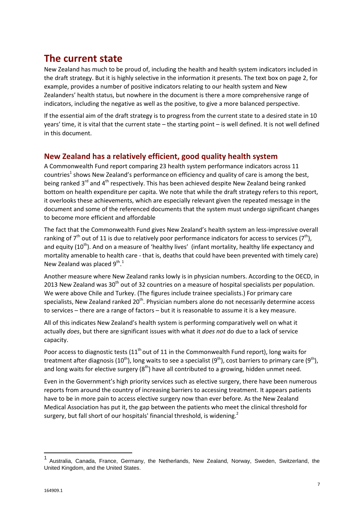# **The current state**

New Zealand has much to be proud of, including the health and health system indicators included in the draft strategy. But it is highly selective in the information it presents. The text box on page 2, for example, provides a number of positive indicators relating to our health system and New Zealanders' health status, but nowhere in the document is there a more comprehensive range of indicators, including the negative as well as the positive, to give a more balanced perspective.

If the essential aim of the draft strategy is to progress from the current state to a desired state in 10 years' time, it is vital that the current state – the starting point – is well defined. It is not well defined in this document.

# **New Zealand has a relatively efficient, good quality health system**

A Commonwealth Fund report comparing 23 health system performance indicators across 11 countries $^1$  shows New Zealand's performance on efficiency and quality of care is among the best, being ranked 3<sup>rd</sup> and 4<sup>th</sup> respectively. This has been achieved despite New Zealand being ranked bottom on health expenditure per capita. We note that while the draft strategy refers to this report, it overlooks these achievements, which are especially relevant given the repeated message in the document and some of the referenced documents that the system must undergo significant changes to become more efficient and affordable

The fact that the Commonwealth Fund gives New Zealand's health system an less-impressive overall ranking of 7<sup>th</sup> out of 11 is due to relatively poor performance indicators for access to services (7<sup>th</sup>), and equity (10<sup>th</sup>). And on a measure of 'healthy lives' (infant mortality, healthy life expectancy and mortality amenable to health care - that is, deaths that could have been prevented with timely care) New Zealand was placed  $9^{\text{th}}$ .<sup>1</sup>

Another measure where New Zealand ranks lowly is in physician numbers. According to the OECD, in 2013 New Zealand was 30<sup>th</sup> out of 32 countries on a measure of hospital specialists per population. We were above Chile and Turkey. (The figures include trainee specialists.) For primary care specialists, New Zealand ranked 20<sup>th</sup>. Physician numbers alone do not necessarily determine access to services – there are a range of factors – but it is reasonable to assume it is a key measure.

All of this indicates New Zealand's health system is performing comparatively well on what it actually *does*, but there are significant issues with what it *does not* do due to a lack of service capacity.

Poor access to diagnostic tests (11<sup>th</sup> out of 11 in the Commonwealth Fund report), long waits for treatment after diagnosis (10<sup>th</sup>), long waits to see a specialist (9<sup>th</sup>), cost barriers to primary care (9<sup>th</sup>), and long waits for elective surgery  $(8<sup>th</sup>)$  have all contributed to a growing, hidden unmet need.

Even in the Government's high priority services such as elective surgery, there have been numerous reports from around the country of increasing barriers to accessing treatment. It appears patients have to be in more pain to access elective surgery now than ever before. As the New Zealand Medical Association has put it, the gap between the patients who meet the clinical threshold for surgery, but fall short of our hospitals' financial threshold, is widening.<sup>2</sup>

 $\overline{a}$ 

<sup>1</sup> Australia, Canada, France, Germany, the Netherlands, New Zealand, Norway, Sweden, Switzerland, the United Kingdom, and the United States.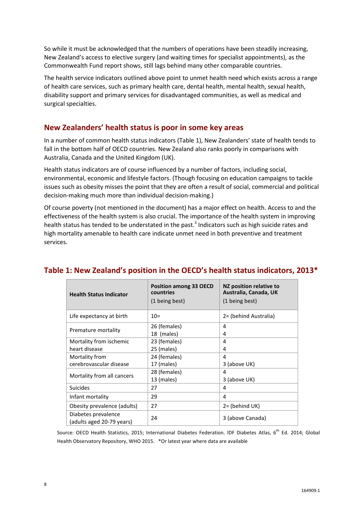So while it must be acknowledged that the numbers of operations have been steadily increasing, New Zealand's access to elective surgery (and waiting times for specialist appointments), as the Commonwealth Fund report shows, still lags behind many other comparable countries.

The health service indicators outlined above point to unmet health need which exists across a range of health care services, such as primary health care, dental health, mental health, sexual health, disability support and primary services for disadvantaged communities, as well as medical and surgical specialties.

### **New Zealanders' health status is poor in some key areas**

In a number of common health status indicators (Table 1), New Zealanders' state of health tends to fall in the bottom half of OECD countries. New Zealand also ranks poorly in comparisons with Australia, Canada and the United Kingdom (UK).

Health status indicators are of course influenced by a number of factors, including social, environmental, economic and lifestyle factors. (Though focusing on education campaigns to tackle issues such as obesity misses the point that they are often a result of social, commercial and political decision-making much more than individual decision-making.)

Of course poverty (not mentioned in the document) has a major effect on health. Access to and the effectiveness of the health system is also crucial. The importance of the health system in improving health status has tended to be understated in the past.<sup>3</sup> Indicators such as high suicide rates and high mortality amenable to health care indicate unmet need in both preventive and treatment services.

| <b>Health Status Indicator</b>                   | <b>Position among 33 OECD</b><br>countries<br>(1 being best) | NZ position relative to<br>Australia, Canada, UK<br>(1 being best) |  |
|--------------------------------------------------|--------------------------------------------------------------|--------------------------------------------------------------------|--|
| Life expectancy at birth                         | $10=$                                                        | 2= (behind Australia)                                              |  |
| Premature mortality                              | 26 (females)                                                 | 4                                                                  |  |
|                                                  | 18 (males)                                                   | 4                                                                  |  |
| Mortality from ischemic                          | 23 (females)                                                 | 4                                                                  |  |
| heart disease                                    | 25 (males)                                                   | 4                                                                  |  |
| Mortality from                                   | 24 (females)                                                 | 4                                                                  |  |
| cerebrovascular disease                          | 17 (males)                                                   | 3 (above UK)                                                       |  |
| Mortality from all cancers                       | 28 (females)                                                 | 4                                                                  |  |
|                                                  | 13 (males)                                                   | 3 (above UK)                                                       |  |
| <b>Suicides</b>                                  | 27                                                           | 4                                                                  |  |
| Infant mortality                                 | 29                                                           | 4                                                                  |  |
| Obesity prevalence (adults)                      | 27                                                           | 2= (behind UK)                                                     |  |
| Diabetes prevalence<br>(adults aged 20-79 years) | 24                                                           | 3 (above Canada)                                                   |  |

# **Table 1: New Zealand's position in the OECD's health status indicators, 2013\***

Source: OECD Health Statistics, 2015; International Diabetes Federation. IDF Diabetes Atlas, 6<sup>th</sup> Ed. 2014; Global Health Observatory Repository, WHO 2015. \*Or latest year where data are available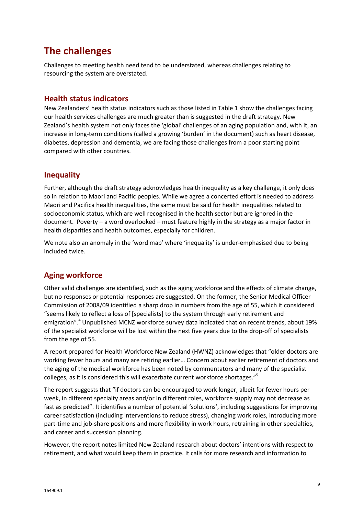# **The challenges**

Challenges to meeting health need tend to be understated, whereas challenges relating to resourcing the system are overstated.

### **Health status indicators**

New Zealanders' health status indicators such as those listed in Table 1 show the challenges facing our health services challenges are much greater than is suggested in the draft strategy. New Zealand's health system not only faces the 'global' challenges of an aging population and, with it, an increase in long-term conditions (called a growing 'burden' in the document) such as heart disease, diabetes, depression and dementia, we are facing those challenges from a poor starting point compared with other countries.

### **Inequality**

Further, although the draft strategy acknowledges health inequality as a key challenge, it only does so in relation to Maori and Pacific peoples. While we agree a concerted effort is needed to address Maori and Pacifica health inequalities, the same must be said for health inequalities related to socioeconomic status, which are well recognised in the health sector but are ignored in the document. Poverty – a word overlooked – must feature highly in the strategy as a major factor in health disparities and health outcomes, especially for children.

We note also an anomaly in the 'word map' where 'inequality' is under-emphasised due to being included twice.

# **Aging workforce**

Other valid challenges are identified, such as the aging workforce and the effects of climate change, but no responses or potential responses are suggested. On the former, the Senior Medical Officer Commission of 2008/09 identified a sharp drop in numbers from the age of 55, which it considered "seems likely to reflect a loss of [specialists] to the system through early retirement and emigration".<sup>4</sup> Unpublished MCNZ workforce survey data indicated that on recent trends, about 19% of the specialist workforce will be lost within the next five years due to the drop-off of specialists from the age of 55.

A report prepared for Health Workforce New Zealand (HWNZ) acknowledges that "older doctors are working fewer hours and many are retiring earlier… Concern about earlier retirement of doctors and the aging of the medical workforce has been noted by commentators and many of the specialist colleges, as it is considered this will exacerbate current workforce shortages."<sup>5</sup>

The report suggests that "if doctors can be encouraged to work longer, albeit for fewer hours per week, in different specialty areas and/or in different roles, workforce supply may not decrease as fast as predicted". It identifies a number of potential 'solutions', including suggestions for improving career satisfaction (including interventions to reduce stress), changing work roles, introducing more part-time and job-share positions and more flexibility in work hours, retraining in other specialties, and career and succession planning.

However, the report notes limited New Zealand research about doctors' intentions with respect to retirement, and what would keep them in practice. It calls for more research and information to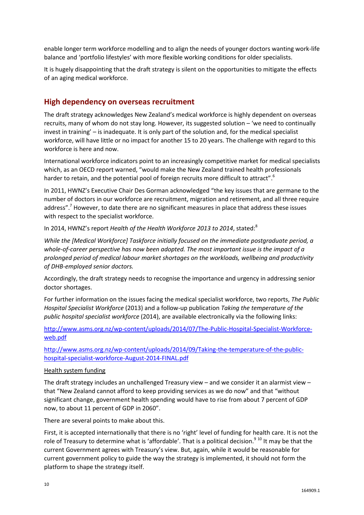enable longer term workforce modelling and to align the needs of younger doctors wanting work-life balance and 'portfolio lifestyles' with more flexible working conditions for older specialists.

It is hugely disappointing that the draft strategy is silent on the opportunities to mitigate the effects of an aging medical workforce.

### **High dependency on overseas recruitment**

The draft strategy acknowledges New Zealand's medical workforce is highly dependent on overseas recruits, many of whom do not stay long. However, its suggested solution – 'we need to continually invest in training' – is inadequate. It is only part of the solution and, for the medical specialist workforce, will have little or no impact for another 15 to 20 years. The challenge with regard to this workforce is here and now.

International workforce indicators point to an increasingly competitive market for medical specialists which, as an OECD report warned, "would make the New Zealand trained health professionals harder to retain, and the potential pool of foreign recruits more difficult to attract".<sup>6</sup>

In 2011, HWNZ's Executive Chair Des Gorman acknowledged "the key issues that are germane to the number of doctors in our workforce are recruitment, migration and retirement, and all three require address".<sup>7</sup> However, to date there are no significant measures in place that address these issues with respect to the specialist workforce.

In 2014, HWNZ's report *Health of the Health Workforce 2013 to 2014*, stated:<sup>8</sup>

*While the [Medical Workforce] Taskforce initially focused on the immediate postgraduate period, a whole-of-career perspective has now been adopted. The most important issue is the impact of a prolonged period of medical labour market shortages on the workloads, wellbeing and productivity of DHB-employed senior doctors.*

Accordingly, the draft strategy needs to recognise the importance and urgency in addressing senior doctor shortages.

For further information on the issues facing the medical specialist workforce, two reports, *The Public Hospital Specialist Workforce* (2013) and a follow-up publication *Taking the temperature of the public hospital specialist workforce* (2014), are available electronically via the following links:

[http://www.asms.org.nz/wp-content/uploads/2014/07/The-Public-Hospital-Specialist-Workforce](http://www.asms.org.nz/wp-content/uploads/2014/07/The-Public-Hospital-Specialist-Workforce-web.pdf)[web.pdf](http://www.asms.org.nz/wp-content/uploads/2014/07/The-Public-Hospital-Specialist-Workforce-web.pdf)

[http://www.asms.org.nz/wp-content/uploads/2014/09/Taking-the-temperature-of-the-public](http://www.asms.org.nz/wp-content/uploads/2014/09/Taking-the-temperature-of-the-public-hospital-specialist-workforce-August-2014-FINAL.pdf)[hospital-specialist-workforce-August-2014-FINAL.pdf](http://www.asms.org.nz/wp-content/uploads/2014/09/Taking-the-temperature-of-the-public-hospital-specialist-workforce-August-2014-FINAL.pdf)

#### Health system funding

The draft strategy includes an unchallenged Treasury view – and we consider it an alarmist view – that "New Zealand cannot afford to keep providing services as we do now" and that "without significant change, government health spending would have to rise from about 7 percent of GDP now, to about 11 percent of GDP in 2060".

There are several points to make about this.

First, it is accepted internationally that there is no 'right' level of funding for health care. It is not the role of Treasury to determine what is 'affordable'. That is a political decision.<sup>9 10</sup> It may be that the current Government agrees with Treasury's view. But, again, while it would be reasonable for current government policy to guide the way the strategy is implemented, it should not form the platform to shape the strategy itself.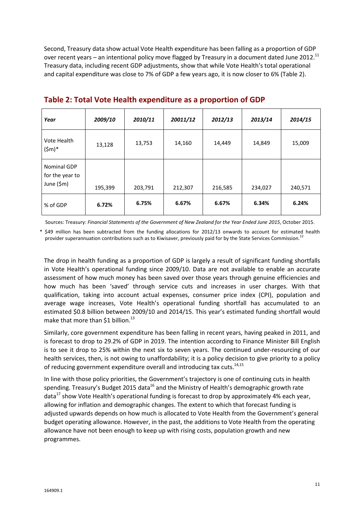Second, Treasury data show actual Vote Health expenditure has been falling as a proportion of GDP over recent years – an intentional policy move flagged by Treasury in a document dated June 2012.<sup>11</sup> Treasury data, including recent GDP adjustments, show that while Vote Health's total operational and capital expenditure was close to 7% of GDP a few years ago, it is now closer to 6% (Table 2).

| Year                                         | 2009/10 | 2010/11 | 20011/12 | 2012/13 | 2013/14 | 2014/15 |
|----------------------------------------------|---------|---------|----------|---------|---------|---------|
| Vote Health<br>$(\$m)^*$                     | 13,128  | 13,753  | 14,160   | 14,449  | 14,849  | 15,009  |
| Nominal GDP<br>for the year to<br>June (\$m) | 195,399 | 203,791 | 212,307  | 216,585 | 234,027 | 240,571 |
| % of GDP                                     | 6.72%   | 6.75%   | 6.67%    | 6.67%   | 6.34%   | 6.24%   |

### **Table 2: Total Vote Health expenditure as a proportion of GDP**

Sources: Treasury: *Financial Statements of the Government of New Zealand for the Year Ended June 2015*, October 2015.

\* \$49 million has been subtracted from the funding allocations for 2012/13 onwards to account for estimated health provider superannuation contributions such as to Kiwisaver, previously paid for by the State Services Commission.<sup>12</sup>

The drop in health funding as a proportion of GDP is largely a result of significant funding shortfalls in Vote Health's operational funding since 2009/10. Data are not available to enable an accurate assessment of how much money has been saved over those years through genuine efficiencies and how much has been 'saved' through service cuts and increases in user charges. With that qualification, taking into account actual expenses, consumer price index (CPI), population and average wage increases, Vote Health's operational funding shortfall has accumulated to an estimated \$0.8 billion between 2009/10 and 2014/15. This year's estimated funding shortfall would make that more than \$1 billion.<sup>13</sup>

Similarly, core government expenditure has been falling in recent years, having peaked in 2011, and is forecast to drop to 29.2% of GDP in 2019. The intention according to Finance Minister Bill English is to see it drop to 25% within the next six to seven years. The continued under-resourcing of our health services, then, is not owing to unaffordability; it is a policy decision to give priority to a policy of reducing government expenditure overall and introducing tax cuts.<sup>14,15</sup>

In line with those policy priorities, the Government's trajectory is one of continuing cuts in health spending. Treasury's Budget 2015 data<sup>16</sup> and the Ministry of Health's demographic growth rate data<sup>17</sup> show Vote Health's operational funding is forecast to drop by approximately 4% each year, allowing for inflation and demographic changes. The extent to which that forecast funding is adjusted upwards depends on how much is allocated to Vote Health from the Government's general budget operating allowance. However, in the past, the additions to Vote Health from the operating allowance have not been enough to keep up with rising costs, population growth and new programmes.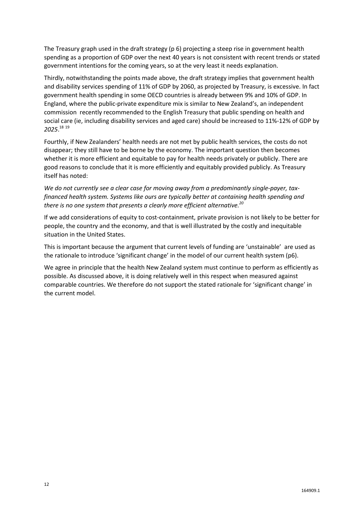The Treasury graph used in the draft strategy (p 6) projecting a steep rise in government health spending as a proportion of GDP over the next 40 years is not consistent with recent trends or stated government intentions for the coming years, so at the very least it needs explanation.

Thirdly, notwithstanding the points made above, the draft strategy implies that government health and disability services spending of 11% of GDP by 2060, as projected by Treasury, is excessive. In fact government health spending in some OECD countries is already between 9% and 10% of GDP. In England, where the public-private expenditure mix is similar to New Zealand's, an independent commission recently recommended to the English Treasury that public spending on health and social care (ie, including disability services and aged care) should be increased to 11%-12% of GDP by *2025*. 18 19

Fourthly, if New Zealanders' health needs are not met by public health services, the costs do not disappear; they still have to be borne by the economy. The important question then becomes whether it is more efficient and equitable to pay for health needs privately or publicly. There are good reasons to conclude that it is more efficiently and equitably provided publicly. As Treasury itself has noted:

*We do not currently see a clear case for moving away from a predominantly single-payer, taxfinanced health system. Systems like ours are typically better at containing health spending and there is no one system that presents a clearly more efficient alternative.<sup>20</sup>*

If we add considerations of equity to cost-containment, private provision is not likely to be better for people, the country and the economy, and that is well illustrated by the costly and inequitable situation in the United States.

This is important because the argument that current levels of funding are 'unstainable' are used as the rationale to introduce 'significant change' in the model of our current health system (p6).

We agree in principle that the health New Zealand system must continue to perform as efficiently as possible. As discussed above, it is doing relatively well in this respect when measured against comparable countries. We therefore do not support the stated rationale for 'significant change' in the current model.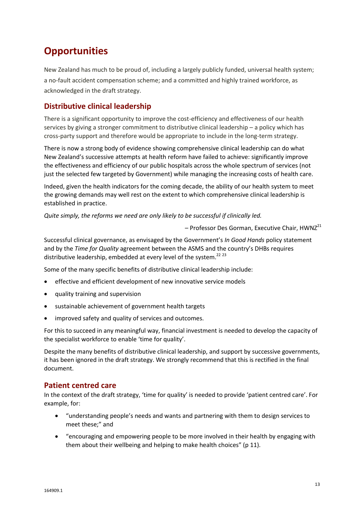# **Opportunities**

New Zealand has much to be proud of, including a largely publicly funded, universal health system; a no-fault accident compensation scheme; and a committed and highly trained workforce, as acknowledged in the draft strategy.

# **Distributive clinical leadership**

There is a significant opportunity to improve the cost-efficiency and effectiveness of our health services by giving a stronger commitment to distributive clinical leadership – a policy which has cross-party support and therefore would be appropriate to include in the long-term strategy.

There is now a strong body of evidence showing comprehensive clinical leadership can do what New Zealand's successive attempts at health reform have failed to achieve: significantly improve the effectiveness and efficiency of our public hospitals across the whole spectrum of services (not just the selected few targeted by Government) while managing the increasing costs of health care.

Indeed, given the health indicators for the coming decade, the ability of our health system to meet the growing demands may well rest on the extent to which comprehensive clinical leadership is established in practice.

*Quite simply, the reforms we need are only likely to be successful if clinically led.*

 $-$  Professor Des Gorman, Executive Chair, HWNZ<sup>21</sup>

Successful clinical governance, as envisaged by the Government's *In Good Hands* policy statement and by the *Time for Quality* agreement between the ASMS and the country's DHBs requires distributive leadership, embedded at every level of the system.<sup>22 23</sup>

Some of the many specific benefits of distributive clinical leadership include:

- effective and efficient development of new innovative service models
- quality training and supervision
- sustainable achievement of government health targets
- improved safety and quality of services and outcomes.

For this to succeed in any meaningful way, financial investment is needed to develop the capacity of the specialist workforce to enable 'time for quality'.

Despite the many benefits of distributive clinical leadership, and support by successive governments, it has been ignored in the draft strategy. We strongly recommend that this is rectified in the final document.

### **Patient centred care**

In the context of the draft strategy, 'time for quality' is needed to provide 'patient centred care'. For example, for:

- "understanding people's needs and wants and partnering with them to design services to meet these;" and
- "encouraging and empowering people to be more involved in their health by engaging with them about their wellbeing and helping to make health choices" (p 11).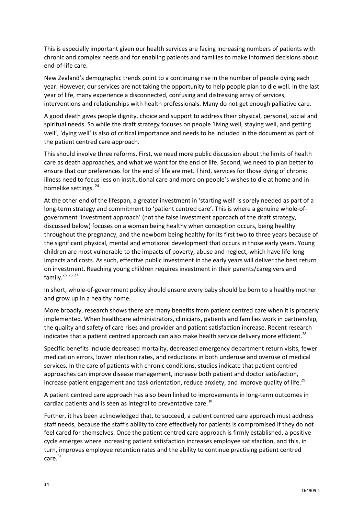This is especially important given our health services are facing increasing numbers of patients with chronic and complex needs and for enabling patients and families to make informed decisions about end-of-life care.

New Zealand's demographic trends point to a continuing rise in the number of people dying each year. However, our services are not taking the opportunity to help people plan to die well. In the last year of life, many experience a disconnected, confusing and distressing array of services, interventions and relationships with health professionals. Many do not get enough palliative care.

A good death gives people dignity, choice and support to address their physical, personal, social and spiritual needs. So while the draft strategy focuses on people 'living well, staying well, and getting well', 'dying well' is also of critical importance and needs to be included in the document as part of the patient centred care approach.

This should involve three reforms. First, we need more public discussion about the limits of health care as death approaches, and what we want for the end of life. Second, we need to plan better to ensure that our preferences for the end of life are met. Third, services for those dying of chronic illness need to focus less on institutional care and more on people's wishes to die at home and in homelike settings.<sup>24</sup>

At the other end of the lifespan, a greater investment in 'starting well' is sorely needed as part of a long-term strategy and commitment to 'patient centred care'. This is where a genuine whole-ofgovernment 'investment approach' (not the false investment approach of the draft strategy, discussed below) focuses on a woman being healthy when conception occurs, being healthy throughout the pregnancy, and the newborn being healthy for its first two to three years because of the significant physical, mental and emotional development that occurs in those early years. Young children are most vulnerable to the impacts of poverty, abuse and neglect, which have life-long impacts and costs. As such, effective public investment in the early years will deliver the best return on investment. Reaching young children requires investment in their parents/caregivers and family.<sup>25 26 27</sup>

In short, whole-of-government policy should ensure every baby should be born to a healthy mother and grow up in a healthy home.

More broadly, research shows there are many benefits from patient centred care when it is properly implemented. When healthcare administrators, clinicians, patients and families work in partnership, the quality and safety of care rises and provider and patient satisfaction increase. Recent research indicates that a patient centred approach can also make health service delivery more efficient.<sup>28</sup>

Specific benefits include decreased mortality, decreased emergency department return visits, fewer medication errors, lower infection rates, and reductions in both underuse and overuse of medical services. In the care of patients with chronic conditions, studies indicate that patient centred approaches can improve disease management, increase both patient and doctor satisfaction, increase patient engagement and task orientation, reduce anxiety, and improve quality of life.<sup>29</sup>

A patient centred care approach has also been linked to improvements in long-term outcomes in cardiac patients and is seen as integral to preventative care.<sup>30</sup>

Further, it has been acknowledged that, to succeed, a patient centred care approach must address staff needs, because the staff's ability to care effectively for patients is compromised if they do not feel cared for themselves. Once the patient centred care approach is firmly established, a positive cycle emerges where increasing patient satisfaction increases employee satisfaction, and this, in turn, improves employee retention rates and the ability to continue practising patient centred care.<sup>31</sup>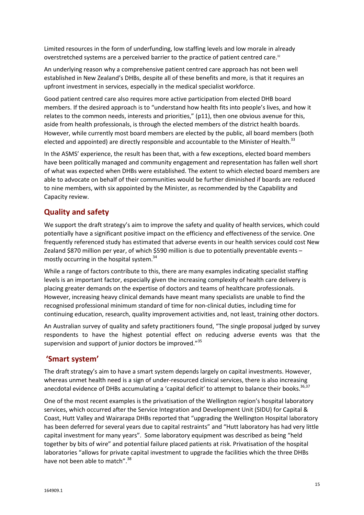Limited resources in the form of underfunding, low staffing levels and low morale in already overstretched systems are a perceived barrier to the practice of patient centred care.<sup>32</sup>

An underlying reason why a comprehensive patient centred care approach has not been well established in New Zealand's DHBs, despite all of these benefits and more, is that it requires an upfront investment in services, especially in the medical specialist workforce.

Good patient centred care also requires more active participation from elected DHB board members. If the desired approach is to "understand how health fits into people's lives, and how it relates to the common needs, interests and priorities," (p11), then one obvious avenue for this, aside from health professionals, is through the elected members of the district health boards. However, while currently most board members are elected by the public, all board members (both elected and appointed) are directly responsible and accountable to the Minister of Health.<sup>33</sup>

In the ASMS' experience, the result has been that, with a few exceptions, elected board members have been politically managed and community engagement and representation has fallen well short of what was expected when DHBs were established. The extent to which elected board members are able to advocate on behalf of their communities would be further diminished if boards are reduced to nine members, with six appointed by the Minister, as recommended by the Capability and Capacity review.

# **Quality and safety**

We support the draft strategy's aim to improve the safety and quality of health services, which could potentially have a significant positive impact on the efficiency and effectiveness of the service. One frequently referenced study has estimated that adverse events in our health services could cost New Zealand \$870 million per year, of which \$590 million is due to potentially preventable events mostly occurring in the hospital system. 34

While a range of factors contribute to this, there are many examples indicating specialist staffing levels is an important factor, especially given the increasing complexity of health care delivery is placing greater demands on the expertise of doctors and teams of healthcare professionals. However, increasing heavy clinical demands have meant many specialists are unable to find the recognised professional minimum standard of time for non-clinical duties, including time for continuing education, research, quality improvement activities and, not least, training other doctors.

An Australian survey of quality and safety practitioners found, "The single proposal judged by survey respondents to have the highest potential effect on reducing adverse events was that the supervision and support of junior doctors be improved."<sup>35</sup>

# **'Smart system'**

The draft strategy's aim to have a smart system depends largely on capital investments. However, whereas unmet health need is a sign of under-resourced clinical services, there is also increasing anecdotal evidence of DHBs accumulating a 'capital deficit' to attempt to balance their books.<sup>36,37</sup>

One of the most recent examples is the privatisation of the Wellington region's hospital laboratory services, which occurred after the Service Integration and Development Unit (SIDU) for Capital & Coast, Hutt Valley and Wairarapa DHBs reported that "upgrading the Wellington Hospital laboratory has been deferred for several years due to capital restraints" and "Hutt laboratory has had very little capital investment for many years". Some laboratory equipment was described as being "held together by bits of wire" and potential failure placed patients at risk. Privatisation of the hospital laboratories "allows for private capital investment to upgrade the facilities which the three DHBs have not been able to match".<sup>38</sup>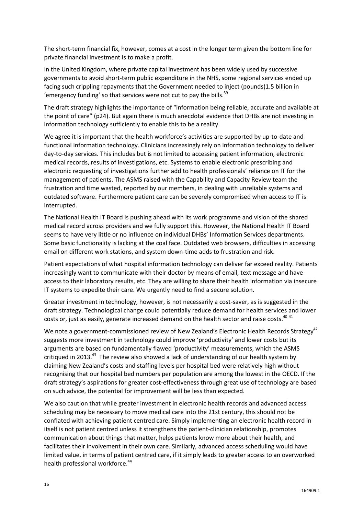The short-term financial fix, however, comes at a cost in the longer term given the bottom line for private financial investment is to make a profit.

In the United Kingdom, where private capital investment has been widely used by successive governments to avoid short-term public expenditure in the NHS, some regional services ended up facing such crippling repayments that the Government needed to inject (pounds)1.5 billion in 'emergency funding' so that services were not cut to pay the bills. $39$ 

The draft strategy highlights the importance of "information being reliable, accurate and available at the point of care" (p24). But again there is much anecdotal evidence that DHBs are not investing in information technology sufficiently to enable this to be a reality.

We agree it is important that the health workforce's activities are supported by up-to-date and functional information technology. Clinicians increasingly rely on information technology to deliver day-to-day services. This includes but is not limited to accessing patient information, electronic medical records, results of investigations, etc. Systems to enable electronic prescribing and electronic requesting of investigations further add to health professionals' reliance on IT for the management of patients. The ASMS raised with the Capability and Capacity Review team the frustration and time wasted, reported by our members, in dealing with unreliable systems and outdated software. Furthermore patient care can be severely compromised when access to IT is interrupted.

The National Health IT Board is pushing ahead with its work programme and vision of the shared medical record across providers and we fully support this. However, the National Health IT Board seems to have very little or no influence on individual DHBs' Information Services departments. Some basic functionality is lacking at the coal face. Outdated web browsers, difficulties in accessing email on different work stations, and system down-time adds to frustration and risk.

Patient expectations of what hospital information technology can deliver far exceed reality. Patients increasingly want to communicate with their doctor by means of email, text message and have access to their laboratory results, etc. They are willing to share their health information via insecure IT systems to expedite their care. We urgently need to find a secure solution.

Greater investment in technology, however, is not necessarily a cost-saver, as is suggested in the draft strategy. Technological change could potentially reduce demand for health services and lower costs or, just as easily, generate increased demand on the health sector and raise costs. $40\frac{41}{10}$ 

We note a government-commissioned review of New Zealand's Electronic Health Records Strategy<sup>42</sup> suggests more investment in technology could improve 'productivity' and lower costs but its arguments are based on fundamentally flawed 'productivity' measurements, which the ASMS critiqued in 2013.<sup>43</sup> The review also showed a lack of understanding of our health system by claiming New Zealand's costs and staffing levels per hospital bed were relatively high without recognising that our hospital bed numbers per population are among the lowest in the OECD. If the draft strategy's aspirations for greater cost-effectiveness through great use of technology are based on such advice, the potential for improvement will be less than expected.

We also caution that while greater investment in electronic health records and advanced access scheduling may be necessary to move medical care into the 21st century, this should not be conflated with achieving patient centred care. Simply implementing an electronic health record in itself is not patient centred unless it strengthens the patient-clinician relationship, promotes communication about things that matter, helps patients know more about their health, and facilitates their involvement in their own care. Similarly, advanced access scheduling would have limited value, in terms of patient centred care, if it simply leads to greater access to an overworked health professional workforce.<sup>44</sup>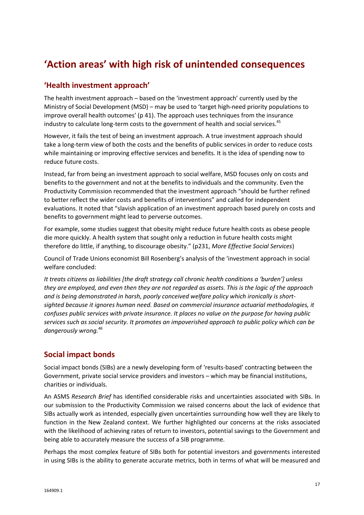# **'Action areas' with high risk of unintended consequences**

# **'Health investment approach'**

The health investment approach – based on the 'investment approach' currently used by the Ministry of Social Development (MSD) – may be used to 'target high-need priority populations to improve overall health outcomes' (p 41). The approach uses techniques from the insurance industry to calculate long-term costs to the government of health and social services.<sup>45</sup>

However, it fails the test of being an investment approach. A true investment approach should take a long-term view of both the costs and the benefits of public services in order to reduce costs while maintaining or improving effective services and benefits. It is the idea of spending now to reduce future costs.

Instead, far from being an investment approach to social welfare, MSD focuses only on costs and benefits to the government and not at the benefits to individuals and the community. Even the Productivity Commission recommended that the investment approach "should be further refined to better reflect the wider costs and benefits of interventions" and called for independent evaluations. It noted that "slavish application of an investment approach based purely on costs and benefits to government might lead to perverse outcomes.

For example, some studies suggest that obesity might reduce future health costs as obese people die more quickly. A health system that sought only a reduction in future health costs might therefore do little, if anything, to discourage obesity." (p231, *More Effective Social Services*)

Council of Trade Unions economist Bill Rosenberg's analysis of the 'investment approach in social welfare concluded:

*It treats citizens as liabilities [the draft strategy call chronic health conditions a 'burden'] unless they are employed, and even then they are not regarded as assets. This is the logic of the approach and is being demonstrated in harsh, poorly conceived welfare policy which ironically is shortsighted because it ignores human need. Based on commercial insurance actuarial methodologies, it confuses public services with private insurance. It places no value on the purpose for having public services such as social security. It promotes an impoverished approach to public policy which can be dangerously wrong.<sup>46</sup>*

# **Social impact bonds**

Social impact bonds (SIBs) are a newly developing form of 'results-based' contracting between the Government, private social service providers and investors – which may be financial institutions, charities or individuals.

An ASMS *Research Brief* has identified considerable risks and uncertainties associated with SIBs. In our submission to the Productivity Commission we raised concerns about the lack of evidence that SIBs actually work as intended, especially given uncertainties surrounding how well they are likely to function in the New Zealand context. We further highlighted our concerns at the risks associated with the likelihood of achieving rates of return to investors, potential savings to the Government and being able to accurately measure the success of a SIB programme.

Perhaps the most complex feature of SIBs both for potential investors and governments interested in using SIBs is the ability to generate accurate metrics, both in terms of what will be measured and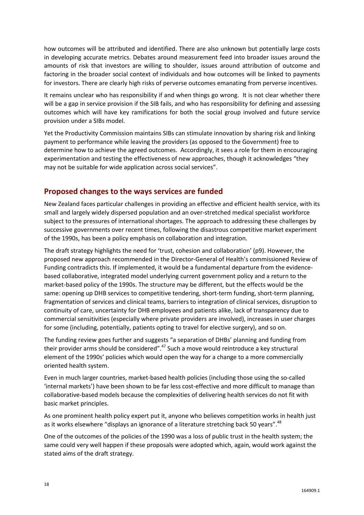how outcomes will be attributed and identified. There are also unknown but potentially large costs in developing accurate metrics. Debates around measurement feed into broader issues around the amounts of risk that investors are willing to shoulder, issues around attribution of outcome and factoring in the broader social context of individuals and how outcomes will be linked to payments for investors. There are clearly high risks of perverse outcomes emanating from perverse incentives.

It remains unclear who has responsibility if and when things go wrong. It is not clear whether there will be a gap in service provision if the SIB fails, and who has responsibility for defining and assessing outcomes which will have key ramifications for both the social group involved and future service provision under a SIBs model.

Yet the Productivity Commission maintains SIBs can stimulate innovation by sharing risk and linking payment to performance while leaving the providers (as opposed to the Government) free to determine how to achieve the agreed outcomes. Accordingly, it sees a role for them in encouraging experimentation and testing the effectiveness of new approaches, though it acknowledges "they may not be suitable for wide application across social services".

### **Proposed changes to the ways services are funded**

New Zealand faces particular challenges in providing an effective and efficient health service, with its small and largely widely dispersed population and an over-stretched medical specialist workforce subject to the pressures of international shortages. The approach to addressing these challenges by successive governments over recent times, following the disastrous competitive market experiment of the 1990s, has been a policy emphasis on collaboration and integration.

The draft strategy highlights the need for 'trust, cohesion and collaboration' (p9). However, the proposed new approach recommended in the Director-General of Health's commissioned Review of Funding contradicts this. If implemented, it would be a fundamental departure from the evidencebased collaborative, integrated model underlying current government policy and a return to the market-based policy of the 1990s. The structure may be different, but the effects would be the same: opening up DHB services to competitive tendering, short-term funding, short-term planning, fragmentation of services and clinical teams, barriers to integration of clinical services, disruption to continuity of care, uncertainty for DHB employees and patients alike, lack of transparency due to commercial sensitivities (especially where private providers are involved), increases in user charges for some (including, potentially, patients opting to travel for elective surgery), and so on.

The funding review goes further and suggests "a separation of DHBs' planning and funding from their provider arms should be considered".<sup>47</sup> Such a move would reintroduce a key structural element of the 1990s' policies which would open the way for a change to a more commercially oriented health system.

Even in much larger countries, market-based health policies (including those using the so-called 'internal markets') have been shown to be far less cost-effective and more difficult to manage than collaborative-based models because the complexities of delivering health services do not fit with basic market principles.

As one prominent health policy expert put it, anyone who believes competition works in health just as it works elsewhere "displays an ignorance of a literature stretching back 50 years". $48$ 

One of the outcomes of the policies of the 1990 was a loss of public trust in the health system; the same could very well happen if these proposals were adopted which, again, would work against the stated aims of the draft strategy.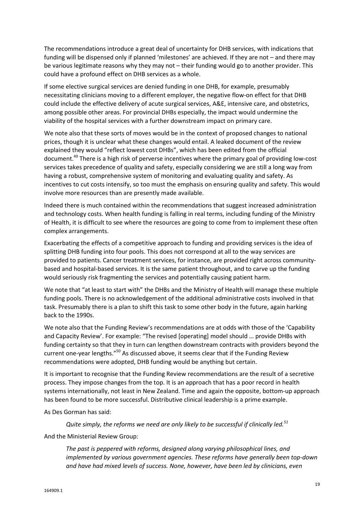The recommendations introduce a great deal of uncertainty for DHB services, with indications that funding will be dispensed only if planned 'milestones' are achieved. If they are not – and there may be various legitimate reasons why they may not – their funding would go to another provider. This could have a profound effect on DHB services as a whole.

If some elective surgical services are denied funding in one DHB, for example, presumably necessitating clinicians moving to a different employer, the negative flow-on effect for that DHB could include the effective delivery of acute surgical services, A&E, intensive care, and obstetrics, among possible other areas. For provincial DHBs especially, the impact would undermine the viability of the hospital services with a further downstream impact on primary care.

We note also that these sorts of moves would be in the context of proposed changes to national prices, though it is unclear what these changes would entail. A leaked document of the review explained they would "reflect lowest cost DHBs", which has been edited from the official document.<sup>49</sup> There is a high risk of perverse incentives where the primary goal of providing low-cost services takes precedence of quality and safety, especially considering we are still a long way from having a robust, comprehensive system of monitoring and evaluating quality and safety. As incentives to cut costs intensify, so too must the emphasis on ensuring quality and safety. This would involve more resources than are presently made available.

Indeed there is much contained within the recommendations that suggest increased administration and technology costs. When health funding is falling in real terms, including funding of the Ministry of Health, it is difficult to see where the resources are going to come from to implement these often complex arrangements.

Exacerbating the effects of a competitive approach to funding and providing services is the idea of splitting DHB funding into four pools. This does not correspond at all to the way services are provided to patients. Cancer treatment services, for instance, are provided right across communitybased and hospital-based services. It is the same patient throughout, and to carve up the funding would seriously risk fragmenting the services and potentially causing patient harm.

We note that "at least to start with" the DHBs and the Ministry of Health will manage these multiple funding pools. There is no acknowledgement of the additional administrative costs involved in that task. Presumably there is a plan to shift this task to some other body in the future, again harking back to the 1990s.

We note also that the Funding Review's recommendations are at odds with those of the 'Capability and Capacity Review'. For example: "The revised [operating] model should … provide DHBs with funding certainty so that they in turn can lengthen downstream contracts with providers beyond the current one-year lengths."<sup>50</sup> As discussed above, it seems clear that if the Funding Review recommendations were adopted, DHB funding would be anything but certain.

It is important to recognise that the Funding Review recommendations are the result of a secretive process. They impose changes from the top. It is an approach that has a poor record in health systems internationally, not least in New Zealand. Time and again the opposite, bottom-up approach has been found to be more successful. Distributive clinical leadership is a prime example.

As Des Gorman has said:

*Quite simply, the reforms we need are only likely to be successful if clinically led.<sup>51</sup>*

And the Ministerial Review Group:

*The past is peppered with reforms, designed along varying philosophical lines, and implemented by various government agencies. These reforms have generally been top-down and have had mixed levels of success. None, however, have been led by clinicians, even*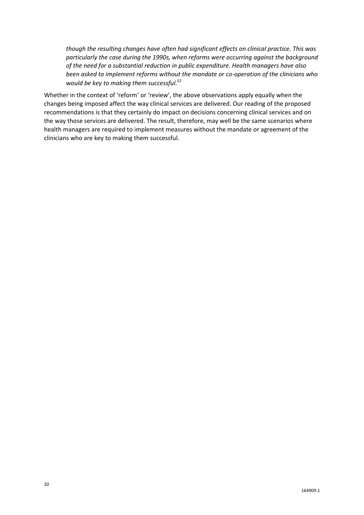*though the resulting changes have often had significant effects on clinical practice. This was particularly the case during the 1990s, when reforms were occurring against the background of the need for a substantial reduction in public expenditure. Health managers have also been asked to implement reforms without the mandate or co-operation of the clinicians who would be key to making them successful.<sup>52</sup>*

Whether in the context of 'reform' or 'review', the above observations apply equally when the changes being imposed affect the way clinical services are delivered. Our reading of the proposed recommendations is that they certainly do impact on decisions concerning clinical services and on the way those services are delivered. The result, therefore, may well be the same scenarios where health managers are required to implement measures without the mandate or agreement of the clinicians who are key to making them successful.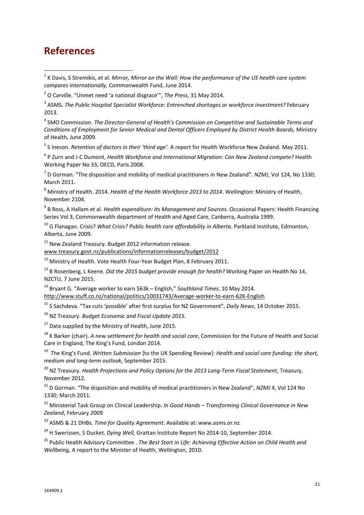# **References**

 1 K Davis, S Stremikis, et al. *Mirror, Mirror on the Wall: How the performance of the US health care system compares internationally,* Commonwealth Fund, June 2014.

3 ASMS. *The Public Hospital Specialist Workforce: Entrenched shortages or workforce investment?* February 2013.

4 SMO Commission. *The Director-General of Health's Commission on Competitive and Sustainable Terms and Conditions of Employment for Senior Medical and Dental Officers Employed by District Health Boards,* Ministry of Health, June 2009.

5 S Ineson. *Retention of doctors in their 'third age'.* A report for Health Workforce New Zealand. May 2011.

6 P Zurn and J-C Dumont, *Health Workforce and International Migration: Can New Zealand compete?* Health Working Paper No 33, OECD, Paris 2008.

7 D Gorman. "The disposition and mobility of medical practitioners in New Zealand". *NZMJ*, Vol 124, No 1330; March 2011.

<sup>8</sup> Ministry of Health. 2014. *Health of the Health Workforce 2013 to 2014*. Wellington: Ministry of Health, November 2104.

9 B Ross, A Hallam et al. *Health expenditure: Its Management and Sources*. Occasional Papers: Health Financing Series Vol 3, Commonwealth department of Health and Aged Care, Canberra, Australia 1999.

<sup>10</sup> G Flanagan. Crisis? *What Crisis? Public health care affordability in Alberta*. Parkland Institute, Edmonton, Alberta, June 2009.

<sup>11</sup> New Zealand Treasury. Budget 2012 information release.

[www.treasury.govt.nz/publications/informationreleases/budget/2012](http://www.treasury.govt.nz/publications/informationreleases/budget/2012)

<sup>12</sup> Ministry of Health. Vote Health Four-Year Budget Plan, 8 February 2011.

<sup>13</sup> B Rosenberg, L Keene. *Did the 2015 budget provide enough for health?* Working Paper on Health No 14, NZCTU, 7 June 2015.

<sup>14</sup> Bryant G. "Average worker to earn \$63k – English," *Southland Times*, 10 May 2014. <http://www.stuff.co.nz/national/politics/10031743/Average-worker-to-earn-62K-English>

<sup>15</sup> S Sachdeva. "Tax cuts 'possible' after first surplus for NZ Government", *Daily News*, 14 October 2015.

<sup>16</sup> NZ Treasury. *Budget Economic and Fiscal Update 2015*.

 $17$  Data supplied by the Ministry of Health, June 2015.

<sup>18</sup> K Barker (chair). *A new settlement for health and social care*, Commission for the Future of Health and Social Care in England, The King's Fund, London 2014.

19 The King's Fund. *Written Submission* [to the UK Spending Review]: *Health and social care funding: the short, medium and long-term outlook,* September 2015.

<sup>20</sup> NZ Treasury. *Health Projections and Policy Options for the 2013 Long-Term Fiscal Statement*, Treasury, November 2012.

<sup>21</sup> D Gorman. "The disposition and mobility of medical practitioners in New Zealand", *NZMJ* 4, Vol 124 No 1330; March 2011.

<sup>22</sup> Ministerial Task Group on Clinical Leadership. *In Good Hands – Transforming Clinical Governance in New Zealand*, February 2009

<sup>23</sup> ASMS & 21 DHBs. *Time for Quality Agreement*. Available at: www.asms.or.nz

<sup>24</sup> H Swerissen, S Ducket. *Dying Well,* Grattan Institute Report No 2014-10, September 2014.

<sup>25</sup> Public Health Advisory Committee . *The Best Start in Life: Achieving Effective Action on Child Health and Wellbeing,* A report to the Minister of Health, Wellington, 2010.

<sup>2</sup> O Carville. "Unmet need 'a national disgrace'", *The Press*, 31 May 2014.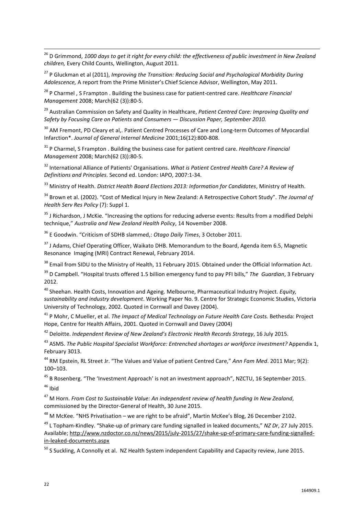<sup>26</sup> D Grimmond, 1000 days to get it right for every child: the effectiveness of public investment in New Zealand *children,* Every Child Counts, Wellington, August 2011.

<sup>27</sup> P Gluckman et al (2011), *Improving the Transition: Reducing Social and Psychological Morbidity During Adolescence,* A report from the Prime Minister's Chief Science Advisor, Wellington, May 2011.

<sup>28</sup> P Charmel , S Frampton . Building the business case for patient-centred care. *Healthcare Financial Management* 2008; March(62 (3)):80-5.

<sup>29</sup> Australian Commission on Safety and Quality in Healthcare, *Patient Centred Care: Improving Quality and Safety by Focusing Care on Patients and Consumers — Discussion Paper, September 2010.*

<sup>30</sup> AM Fremont, PD Cleary et al,. Patient Centred Processes of Care and Long-term Outcomes of Myocardial Infarction\*. *Journal of General Internal Medicine* 2001;16(12):800-808.

<sup>31</sup> P Charmel, S Frampton . Building the business case for patient centred care. *Healthcare Financial Management* 2008; March(62 (3)):80-5.

<sup>32</sup> International Alliance of Patients' Organisations. *What is Patient Centred Health Care? A Review of Definitions and Principles*. Second ed. London: IAPO, 2007:1-34.

<sup>33</sup> Ministry of Health. *District Health Board Elections 2013: Information for Candidates*, Ministry of Health.

<sup>34</sup> Brown et al. (2002). "Cost of Medical Injury in New Zealand: A Retrospective Cohort Study". *The Journal of Health Serv Res Policy* (7): Suppl 1.

<sup>35</sup> J Richardson, J McKie. "Increasing the options for reducing adverse events: Results from a modified Delphi technique," *Australia and New Zealand Health Policy*, 14 November 2008.

<sup>36</sup> E Goodwin. "Criticism of SDHB slammed,: *Otago Daily Times*, 3 October 2011.

<sup>37</sup> J Adams, Chief Operating Officer, Waikato DHB. Memorandum to the Board, Agenda item 6.5, Magnetic Resonance Imaging (MRI) Contract Renewal, February 2014.

<sup>38</sup> Email from SIDU to the Ministry of Health, 11 February 2015. Obtained under the Official Information Act.

<sup>39</sup> D Campbell. "Hospital trusts offered 1.5 billion emergency fund to pay PFI bills," *The Guardian*, 3 February 2012.

<sup>40</sup> Sheehan. Health Costs, Innovation and Ageing. Melbourne, Pharmaceutical Industry Project. *Equity, sustainability and industry development*. Working Paper No. 9. Centre for Strategic Economic Studies, Victoria University of Technology, 2002. Quoted in Cornwall and Davey (2004).

<sup>41</sup> P Mohr, C Mueller, et al. *The Impact of Medical Technology on Future Health Care Costs.* Bethesda: Project Hope, Centre for Health Affairs, 2001. Quoted in Cornwall and Davey (2004)

<sup>42</sup> Deloitte. *Independent Review of New Zealand's Electronic Health Records Strategy*, 16 July 2015.

<sup>43</sup> ASMS. *The Public Hospital Specialist Workforce: Entrenched shortages or workforce investment?* Appendix 1, February 3013.

<sup>44</sup> RM Epstein, RL Street Jr. "The Values and Value of patient Centred Care," *Ann Fam Med*. 2011 Mar; 9(2): 100–103.

<sup>45</sup> B Rosenberg. "The 'Investment Approach' is not an investment approach", NZCTU, 16 September 2015.  $46$  Ibid

 $\overline{a}$ 

<sup>47</sup> M Horn. *From Cost to Sustainable Value: An independent review of health funding In New Zealand*, commissioned by the Director-General of Health, 30 June 2015.

 $^{48}$  M McKee. "NHS Privatisation – we are right to be afraid", Martin McKee's Blog, 26 December 2102.

<sup>49</sup> L Topham-Kindley. "Shake-up of primary care funding signalled in leaked documents," *NZ Dr*, 27 July 2015. Available; [http://www.nzdoctor.co.nz/news/2015/july-2015/27/shake-up-of-primary-care-funding-signalled](http://www.nzdoctor.co.nz/news/2015/july-2015/27/shake-up-of-primary-care-funding-signalled-in-leaked-documents.aspx)[in-leaked-documents.aspx](http://www.nzdoctor.co.nz/news/2015/july-2015/27/shake-up-of-primary-care-funding-signalled-in-leaked-documents.aspx)

<sup>50</sup> S Suckling, A Connolly et al. NZ Health System independent Capability and Capacity review, June 2015.